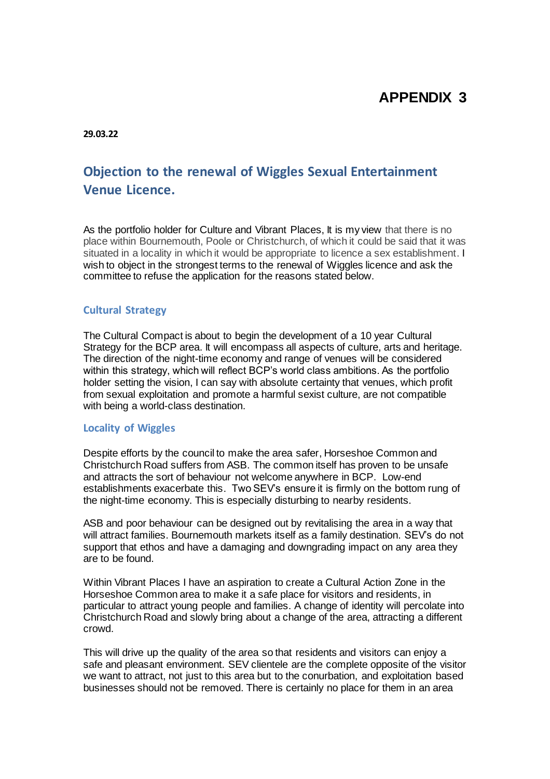# **APPENDIX 3**

**29.03.22**

# **Objection to the renewal of Wiggles Sexual Entertainment Venue Licence.**

As the portfolio holder for Culture and Vibrant Places, It is my view that there is no place within Bournemouth, Poole or Christchurch, of which it could be said that it was situated in a locality in which it would be appropriate to licence a sex establishment. I wish to object in the strongest terms to the renewal of Wiggles licence and ask the committee to refuse the application for the reasons stated below.

### **Cultural Strategy**

The Cultural Compact is about to begin the development of a 10 year Cultural Strategy for the BCP area. It will encompass all aspects of culture, arts and heritage. The direction of the night-time economy and range of venues will be considered within this strategy, which will reflect BCP's world class ambitions. As the portfolio holder setting the vision, I can say with absolute certainty that venues, which profit from sexual exploitation and promote a harmful sexist culture, are not compatible with being a world-class destination.

#### **Locality of Wiggles**

Despite efforts by the council to make the area safer, Horseshoe Common and Christchurch Road suffers from ASB. The common itself has proven to be unsafe and attracts the sort of behaviour not welcome anywhere in BCP. Low-end establishments exacerbate this. Two SEV's ensure it is firmly on the bottom rung of the night-time economy. This is especially disturbing to nearby residents.

ASB and poor behaviour can be designed out by revitalising the area in a way that will attract families. Bournemouth markets itself as a family destination. SEV's do not support that ethos and have a damaging and downgrading impact on any area they are to be found.

Within Vibrant Places I have an aspiration to create a Cultural Action Zone in the Horseshoe Common area to make it a safe place for visitors and residents, in particular to attract young people and families. A change of identity will percolate into Christchurch Road and slowly bring about a change of the area, attracting a different crowd.

This will drive up the quality of the area so that residents and visitors can enjoy a safe and pleasant environment. SEV clientele are the complete opposite of the visitor we want to attract, not just to this area but to the conurbation, and exploitation based businesses should not be removed. There is certainly no place for them in an area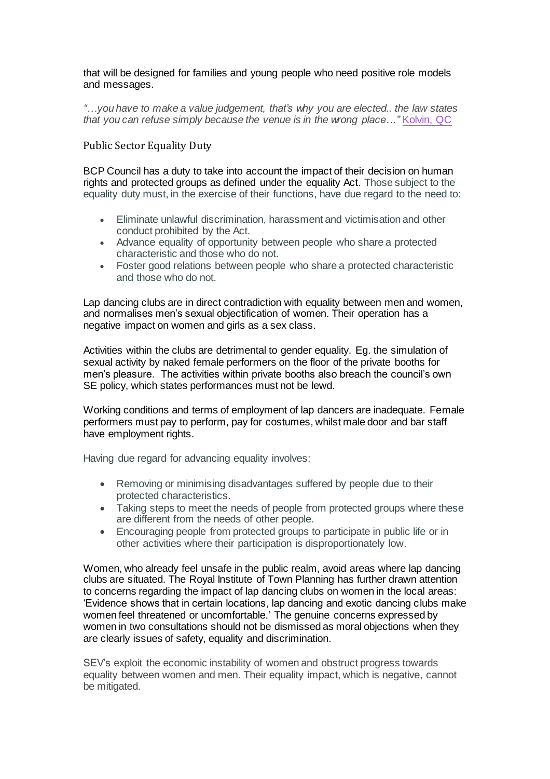that will be designed for families and young people who need positive role models and messages.

*"…you have to make a value judgement, that's why you are elected.. the law states that you can refuse simply because the venue is in the wrong place…"* [Kolvin, QC](https://www.cheshire-live.co.uk/news/chester-cheshire-news/chester-platinum-lounge-lap-dancing-9610810)

## Public Sector Equality Duty

BCP Council has a duty to take into account the impact of their decision on human rights and protected groups as defined under the equality Act. Those subject to the equality duty must, in the exercise of their functions, have due regard to the need to:

- Eliminate unlawful discrimination, harassment and victimisation and other conduct prohibited by the Act.
- Advance equality of opportunity between people who share a protected characteristic and those who do not.
- Foster good relations between people who share a protected characteristic and those who do not.

Lap dancing clubs are in direct contradiction with equality between men and women, and normalises men's sexual objectification of women. Their operation has a negative impact on women and girls as a sex class.

Activities within the clubs are detrimental to gender equality. Eg. the simulation of sexual activity by naked female performers on the floor of the private booths for men's pleasure. The activities within private booths also breach the council's own SE policy, which states performances must not be lewd.

Working conditions and terms of employment of lap dancers are inadequate. Female performers must pay to perform, pay for costumes, whilst male door and bar staff have employment rights.

Having due regard for advancing equality involves:

- Removing or minimising disadvantages suffered by people due to their protected characteristics.
- Taking steps to meet the needs of people from protected groups where these are different from the needs of other people.
- Encouraging people from protected groups to participate in public life or in other activities where their participation is disproportionately low.

Women, who already feel unsafe in the public realm, avoid areas where lap dancing clubs are situated. The Royal Institute of Town Planning has further drawn attention to concerns regarding the impact of lap dancing clubs on women in the local areas: 'Evidence shows that in certain locations, lap dancing and exotic dancing clubs make women feel threatened or uncomfortable.' The genuine concerns expressed by women in two consultations should not be dismissed as moral objections when they are clearly issues of safety, equality and discrimination.

SEV's exploit the economic instability of women and obstruct progress towards equality between women and men. Their equality impact, which is negative, cannot be mitigated.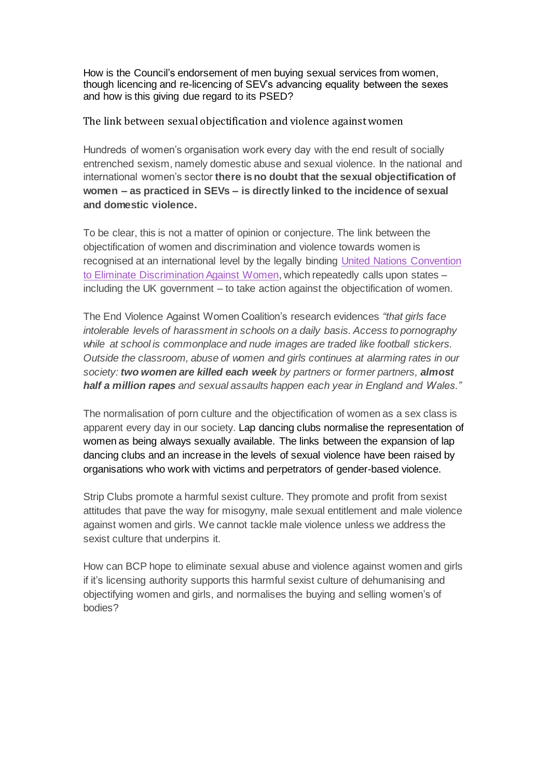How is the Council's endorsement of men buying sexual services from women, though licencing and re-licencing of SEV's advancing equality between the sexes and how is this giving due regard to its PSED?

The link between sexual objectification and violence against women

Hundreds of women's organisation work every day with the end result of socially entrenched sexism, namely domestic abuse and sexual violence. In the national and international women's sector **there is no doubt that the sexual objectification of women – as practiced in SEVs – is directly linked to the incidence of sexual and domestic violence.**

To be clear, this is not a matter of opinion or conjecture. The link between the objectification of women and discrimination and violence towards women is recognised at an international level by the legally binding [United Nations Convention](https://www.equalityhumanrights.com/en/our-human-rights-work/monitoring-and-promoting-un-treaties/convention-elimination-discrimination)  [to Eliminate Discrimination Against Women,](https://www.equalityhumanrights.com/en/our-human-rights-work/monitoring-and-promoting-un-treaties/convention-elimination-discrimination) which repeatedly calls upon states – including the UK government – to take action against the objectification of women.

The End Violence Against Women Coalition's research evidences *"that girls face intolerable levels of harassment in schools on a daily basis. Access to pornography while at school is commonplace and nude images are traded like football stickers. Outside the classroom, abuse of women and girls continues at alarming rates in our society: two women are killed each week by partners or former partners, almost half a million rapes and sexual assaults happen each year in England and Wales."*

The normalisation of porn culture and the objectification of women as a sex class is apparent every day in our society. Lap dancing clubs normalise the representation of women as being always sexually available. The links between the expansion of lap dancing clubs and an increase in the levels of sexual violence have been raised by organisations who work with victims and perpetrators of gender-based violence.

Strip Clubs promote a harmful sexist culture. They promote and profit from sexist attitudes that pave the way for misogyny, male sexual entitlement and male violence against women and girls. We cannot tackle male violence unless we address the sexist culture that underpins it.

How can BCP hope to eliminate sexual abuse and violence against women and girls if it's licensing authority supports this harmful sexist culture of dehumanising and objectifying women and girls, and normalises the buying and selling women's of bodies?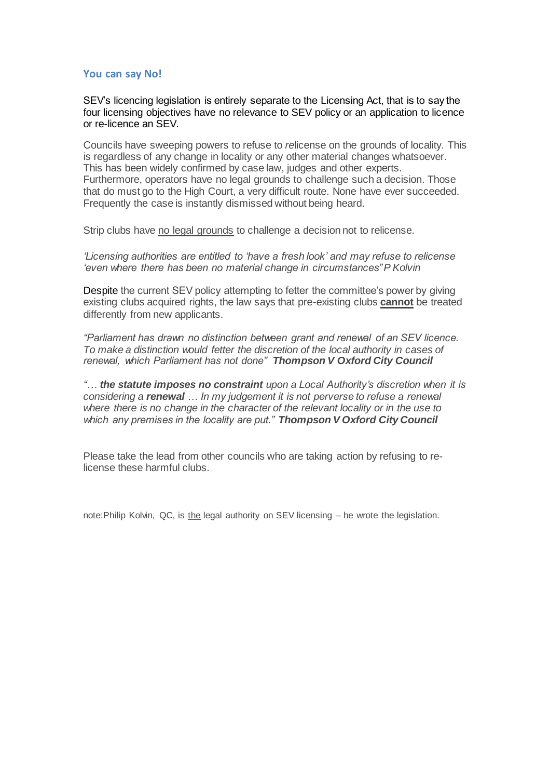### **You can say No!**

SEV's licencing legislation is entirely separate to the Licensing Act, that is to say the four licensing objectives have no relevance to SEV policy or an application to licence or re-licence an SEV.

Councils have sweeping powers to refuse to *re*license on the grounds of locality. This is regardless of any change in locality or any other material changes whatsoever. This has been widely confirmed by case law, judges and other experts. Furthermore, operators have no legal grounds to challenge such a decision. Those that do must go to the High Court, a very difficult route. None have ever succeeded. Frequently the case is instantly dismissed without being heard.

Strip clubs have no legal grounds to challenge a decision not to relicense.

*'Licensing authorities are entitled to 'have a fresh look' and may refuse to relicense 'even where there has been no material change in circumstances"P Kolvin*

Despite the current SEV policy attempting to fetter the committee's power by giving existing clubs acquired rights, the law says that pre-existing clubs **cannot** be treated differently from new applicants.

*"Parliament has drawn no distinction between grant and renewal of an SEV licence. To make a distinction would fetter the discretion of the local authority in cases of renewal, which Parliament has not done" Thompson V Oxford City Council*

*"… the statute imposes no constraint upon a Local Authority's discretion when it is considering a renewal … In my judgement it is not perverse to refuse a renewal where there is no change in the character of the relevant locality or in the use to which any premises in the locality are put." Thompson V Oxford City Council*

Please take the lead from other councils who are taking action by refusing to relicense these harmful clubs.

note:Philip Kolvin, QC, is the legal authority on SEV licensing - he wrote the legislation.